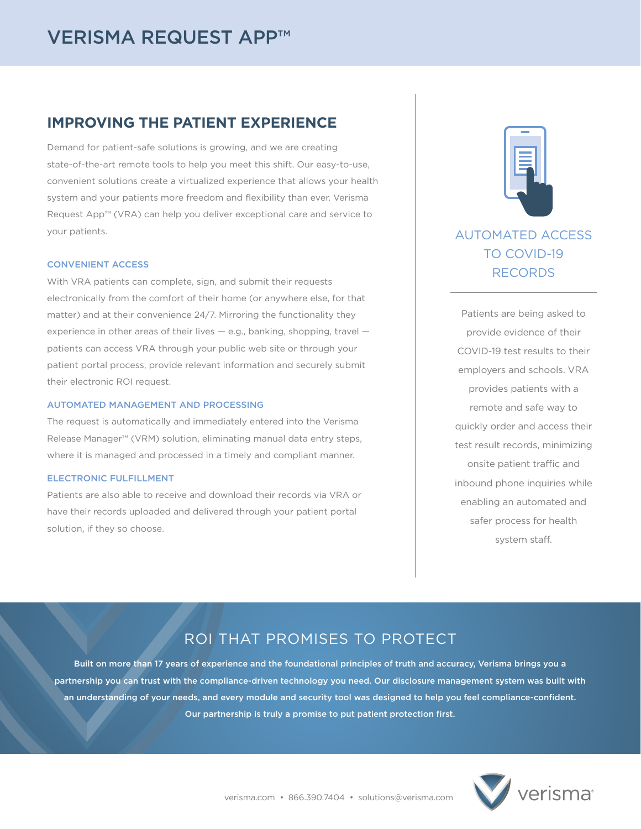# **IMPROVING THE PATIENT EXPERIENCE**

Demand for patient-safe solutions is growing, and we are creating state-of-the-art remote tools to help you meet this shift. Our easy-to-use, convenient solutions create a virtualized experience that allows your health system and your patients more freedom and flexibility than ever. Verisma Request App™ (VRA) can help you deliver exceptional care and service to your patients.

### CONVENIENT ACCESS

With VRA patients can complete, sign, and submit their requests electronically from the comfort of their home (or anywhere else, for that matter) and at their convenience 24/7. Mirroring the functionality they experience in other areas of their lives — e.g., banking, shopping, travel patients can access VRA through your public web site or through your patient portal process, provide relevant information and securely submit their electronic ROI request.

#### AUTOMATED MANAGEMENT AND PROCESSING

The request is automatically and immediately entered into the Verisma Release Manager™ (VRM) solution, eliminating manual data entry steps, where it is managed and processed in a timely and compliant manner.

#### ELECTRONIC FULFILLMENT

Patients are also able to receive and download their records via VRA or have their records uploaded and delivered through your patient portal solution, if they so choose.



# AUTOMATED ACCESS TO COVID-19 RECORDS

Patients are being asked to provide evidence of their COVID-19 test results to their employers and schools. VRA provides patients with a remote and safe way to quickly order and access their test result records, minimizing onsite patient traffic and inbound phone inquiries while enabling an automated and safer process for health system staff.

# ROI THAT PROMISES TO PROTECT

Built on more than 17 years of experience and the foundational principles of truth and accuracy, Verisma brings you a partnership you can trust with the compliance-driven technology you need. Our disclosure management system was built with an understanding of your needs, and every module and security tool was designed to help you feel compliance-confident. Our partnership is truly a promise to put patient protection first.